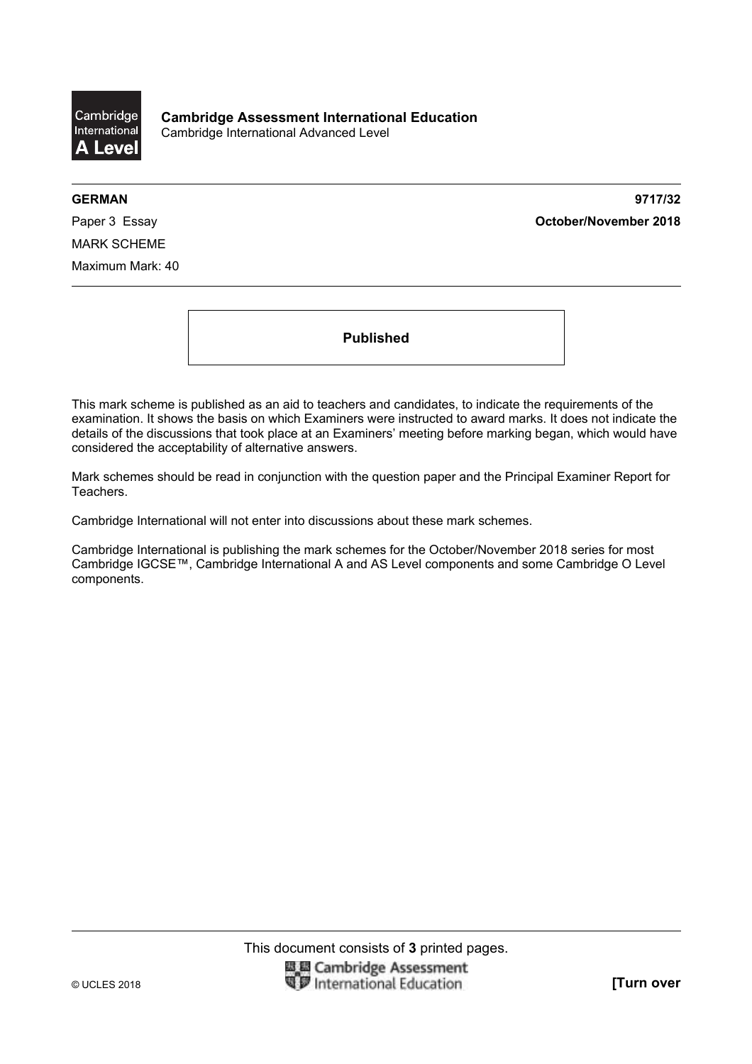

**GERMAN 9717/32**  Paper 3 Essay **October/November 2018**

MARK SCHEME Maximum Mark: 40

**Published** 

This mark scheme is published as an aid to teachers and candidates, to indicate the requirements of the examination. It shows the basis on which Examiners were instructed to award marks. It does not indicate the details of the discussions that took place at an Examiners' meeting before marking began, which would have considered the acceptability of alternative answers.

Mark schemes should be read in conjunction with the question paper and the Principal Examiner Report for Teachers.

Cambridge International will not enter into discussions about these mark schemes.

Cambridge International is publishing the mark schemes for the October/November 2018 series for most Cambridge IGCSE™, Cambridge International A and AS Level components and some Cambridge O Level components.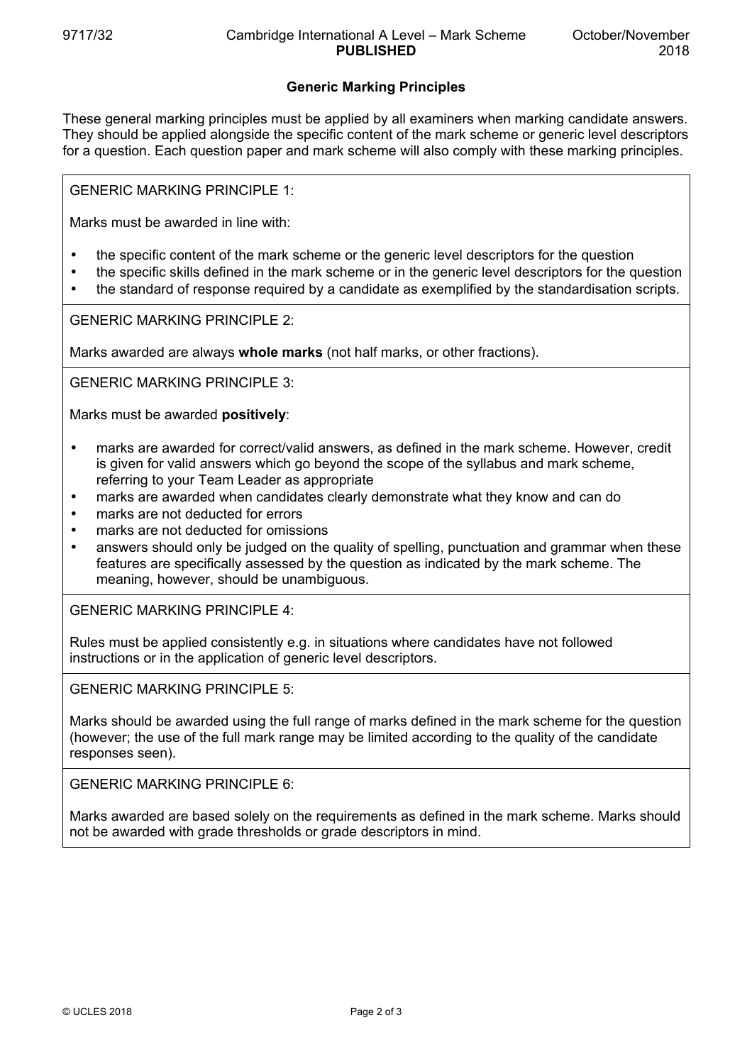## **Generic Marking Principles**

These general marking principles must be applied by all examiners when marking candidate answers. They should be applied alongside the specific content of the mark scheme or generic level descriptors for a question. Each question paper and mark scheme will also comply with these marking principles.

GENERIC MARKING PRINCIPLE 1:

Marks must be awarded in line with:

- the specific content of the mark scheme or the generic level descriptors for the question
- the specific skills defined in the mark scheme or in the generic level descriptors for the question
- the standard of response required by a candidate as exemplified by the standardisation scripts.

GENERIC MARKING PRINCIPLE 2:

Marks awarded are always **whole marks** (not half marks, or other fractions).

GENERIC MARKING PRINCIPLE 3:

Marks must be awarded **positively**:

- marks are awarded for correct/valid answers, as defined in the mark scheme. However, credit is given for valid answers which go beyond the scope of the syllabus and mark scheme, referring to your Team Leader as appropriate
- marks are awarded when candidates clearly demonstrate what they know and can do
- marks are not deducted for errors
- marks are not deducted for omissions
- answers should only be judged on the quality of spelling, punctuation and grammar when these features are specifically assessed by the question as indicated by the mark scheme. The meaning, however, should be unambiguous.

GENERIC MARKING PRINCIPLE 4:

Rules must be applied consistently e.g. in situations where candidates have not followed instructions or in the application of generic level descriptors.

GENERIC MARKING PRINCIPLE 5:

Marks should be awarded using the full range of marks defined in the mark scheme for the question (however; the use of the full mark range may be limited according to the quality of the candidate responses seen).

GENERIC MARKING PRINCIPLE 6:

Marks awarded are based solely on the requirements as defined in the mark scheme. Marks should not be awarded with grade thresholds or grade descriptors in mind.